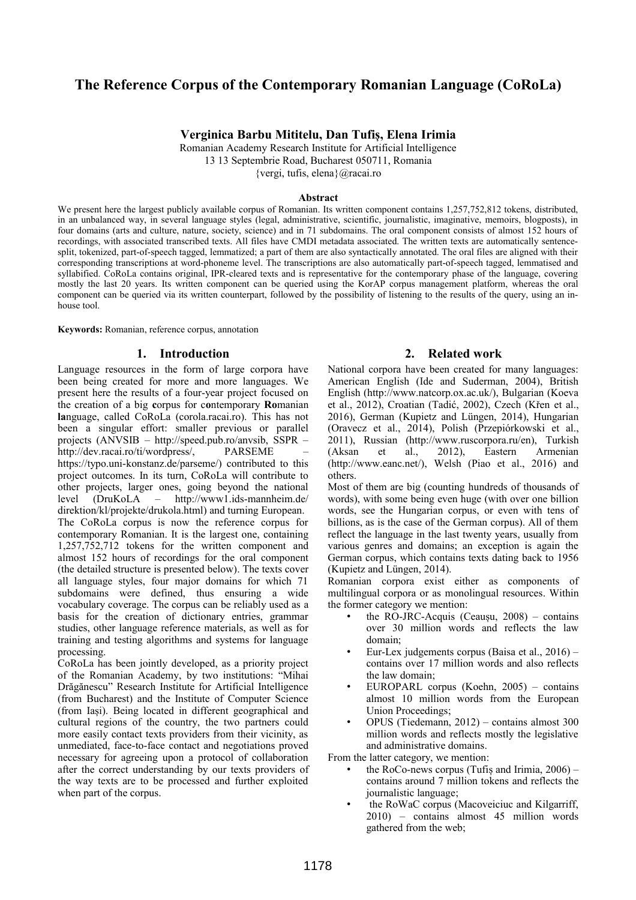# **The Reference Corpus of the Contemporary Romanian Language (CoRoLa)**

### **Verginica Barbu Mititelu, Dan Tufiș, Elena Irimia**

Romanian Academy Research Institute for Artificial Intelligence 13 13 Septembrie Road, Bucharest 050711, Romania

{vergi, tufis, elena}@racai.ro

#### **Abstract**

We present here the largest publicly available corpus of Romanian. Its written component contains 1,257,752,812 tokens, distributed, in an unbalanced way, in several language styles (legal, administrative, scientific, journalistic, imaginative, memoirs, blogposts), in four domains (arts and culture, nature, society, science) and in 71 subdomains. The oral component consists of almost 152 hours of recordings, with associated transcribed texts. All files have CMDI metadata associated. The written texts are automatically sentencesplit, tokenized, part-of-speech tagged, lemmatized; a part of them are also syntactically annotated. The oral files are aligned with their corresponding transcriptions at word-phoneme level. The transcriptions are also automatically part-of-speech tagged, lemmatised and syllabified. CoRoLa contains original, IPR-cleared texts and is representative for the contemporary phase of the language, covering mostly the last 20 years. Its written component can be queried using the KorAP corpus management platform, whereas the oral component can be queried via its written counterpart, followed by the possibility of listening to the results of the query, using an inhouse tool.

**Keywords:** Romanian, reference corpus, annotation

### **1. Introduction**

Language resources in the form of large corpora have been being created for more and more languages. We present here the results of a four-year project focused on the creation of a big **c**orpus for c**o**ntemporary **Ro**manian **la**nguage, called CoRoLa (corola.racai.ro). This has not been a singular effort: smaller previous or parallel projects (ANVSIB – http://speed.pub.ro/anvsib, SSPR – http://dev.racai.ro/ti/wordpress/, PARSEME https://typo.uni-konstanz.de/parseme/) contributed to this project outcomes. In its turn, CoRoLa will contribute to other projects, larger ones, going beyond the national level (DruKoLA – http://www1.ids-mannheim.de/ direktion/kl/projekte/drukola.html) and turning European. The CoRoLa corpus is now the reference corpus for contemporary Romanian. It is the largest one, containing 1,257,752,712 tokens for the written component and almost 152 hours of recordings for the oral component (the detailed structure is presented below). The texts cover all language styles, four major domains for which 71 subdomains were defined, thus ensuring a wide vocabulary coverage. The corpus can be reliably used as a basis for the creation of dictionary entries, grammar studies, other language reference materials, as well as for training and testing algorithms and systems for language processing.

CoRoLa has been jointly developed, as a priority project of the Romanian Academy, by two institutions: "Mihai Drăgănescu" Research Institute for Artificial Intelligence (from Bucharest) and the Institute of Computer Science (from Iași). Being located in different geographical and cultural regions of the country, the two partners could more easily contact texts providers from their vicinity, as unmediated, face-to-face contact and negotiations proved necessary for agreeing upon a protocol of collaboration after the correct understanding by our texts providers of the way texts are to be processed and further exploited when part of the corpus.

### **2. Related work**

National corpora have been created for many languages: American English (Ide and Suderman, 2004), British English (http://www.natcorp.ox.ac.uk/), Bulgarian (Koeva et al., 2012), Croatian (Tadić, 2002), Czech (Křen et al., 2016), German (Kupietz and Lüngen, 2014), Hungarian (Oravecz et al., 2014), Polish (Przepiórkowski et al., 2011), Russian (http://www.ruscorpora.ru/en), Turkish (Aksan et al., 2012), Eastern Armenian (http://www.eanc.net/), Welsh (Piao et al., 2016) and others.

Most of them are big (counting hundreds of thousands of words), with some being even huge (with over one billion words, see the Hungarian corpus, or even with tens of billions, as is the case of the German corpus). All of them reflect the language in the last twenty years, usually from various genres and domains; an exception is again the German corpus, which contains texts dating back to 1956 (Kupietz and Lüngen, 2014).

Romanian corpora exist either as components of multilingual corpora or as monolingual resources. Within the former category we mention:

- the RO-JRC-Acquis (Ceaușu,  $2008$ ) contains over 30 million words and reflects the law domain;
- Eur-Lex judgements corpus (Baisa et al., 2016) contains over 17 million words and also reflects the law domain;
- EUROPARL corpus (Koehn, 2005) contains almost 10 million words from the European Union Proceedings;
- OPUS (Tiedemann, 2012) contains almost 300 million words and reflects mostly the legislative and administrative domains.

From the latter category, we mention:

- the RoCo-news corpus (Tufiş and Irimia,  $2006$ ) contains around 7 million tokens and reflects the journalistic language;
- the RoWaC corpus (Macoveiciuc and Kilgarriff, 2010) – contains almost 45 million words gathered from the web;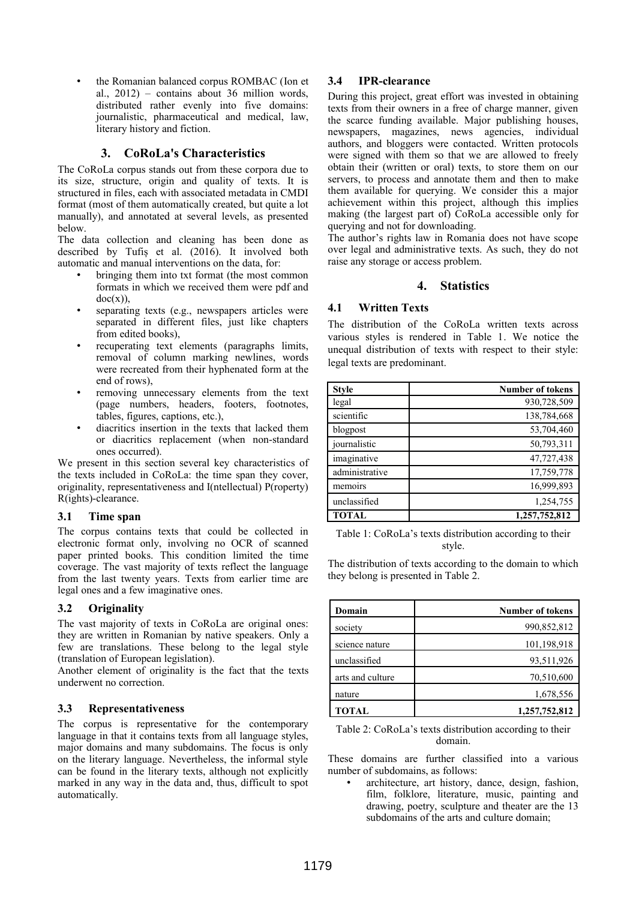• the Romanian balanced corpus ROMBAC (Ion et al.,  $2012$ ) – contains about 36 million words, distributed rather evenly into five domains: journalistic, pharmaceutical and medical, law, literary history and fiction.

### **3. CoRoLa's Characteristics**

The CoRoLa corpus stands out from these corpora due to its size, structure, origin and quality of texts. It is structured in files, each with associated metadata in CMDI format (most of them automatically created, but quite a lot manually), and annotated at several levels, as presented below.

The data collection and cleaning has been done as described by Tufiș et al. (2016). It involved both automatic and manual interventions on the data, for:

- bringing them into txt format (the most common formats in which we received them were pdf and  $doc(x)$ ),
- separating texts (e.g., newspapers articles were separated in different files, just like chapters from edited books),
- recuperating text elements (paragraphs limits, removal of column marking newlines, words were recreated from their hyphenated form at the end of rows),
- removing unnecessary elements from the text (page numbers, headers, footers, footnotes, tables, figures, captions, etc.),
- diacritics insertion in the texts that lacked them or diacritics replacement (when non-standard ones occurred).

We present in this section several key characteristics of the texts included in CoRoLa: the time span they cover, originality, representativeness and I(ntellectual) P(roperty) R(ights)-clearance.

### **3.1 Time span**

The corpus contains texts that could be collected in electronic format only, involving no OCR of scanned paper printed books. This condition limited the time coverage. The vast majority of texts reflect the language from the last twenty years. Texts from earlier time are legal ones and a few imaginative ones.

### **3.2 Originality**

The vast majority of texts in CoRoLa are original ones: they are written in Romanian by native speakers. Only a few are translations. These belong to the legal style (translation of European legislation).

Another element of originality is the fact that the texts underwent no correction.

### **3.3 Representativeness**

The corpus is representative for the contemporary language in that it contains texts from all language styles, major domains and many subdomains. The focus is only on the literary language. Nevertheless, the informal style can be found in the literary texts, although not explicitly marked in any way in the data and, thus, difficult to spot automatically.

## **3.4 IPR-clearance**

During this project, great effort was invested in obtaining texts from their owners in a free of charge manner, given the scarce funding available. Major publishing houses, newspapers, magazines, news agencies, individual authors, and bloggers were contacted. Written protocols were signed with them so that we are allowed to freely obtain their (written or oral) texts, to store them on our servers, to process and annotate them and then to make them available for querying. We consider this a major achievement within this project, although this implies making (the largest part of) CoRoLa accessible only for querying and not for downloading.

The author's rights law in Romania does not have scope over legal and administrative texts. As such, they do not raise any storage or access problem.

### **4. Statistics**

### **4.1 Written Texts**

The distribution of the CoRoLa written texts across various styles is rendered in Table 1. We notice the unequal distribution of texts with respect to their style: legal texts are predominant.

| <b>Style</b>   | <b>Number of tokens</b> |
|----------------|-------------------------|
| legal          | 930,728,509             |
| scientific     | 138,784,668             |
| blogpost       | 53,704,460              |
| journalistic   | 50,793,311              |
| imaginative    | 47,727,438              |
| administrative | 17,759,778              |
| memoirs        | 16,999,893              |
| unclassified   | 1,254,755               |
| <b>TOTAL</b>   | 1,257,752,812           |

Table 1: CoRoLa's texts distribution according to their style.

The distribution of texts according to the domain to which they belong is presented in Table 2.

| Domain           | <b>Number of tokens</b> |
|------------------|-------------------------|
| society          | 990,852,812             |
| science nature   | 101,198,918             |
| unclassified     | 93,511,926              |
| arts and culture | 70,510,600              |
| nature           | 1,678,556               |
| <b>TOTAL</b>     | 1,257,752,812           |

#### Table 2: CoRoLa's texts distribution according to their domain.

These domains are further classified into a various number of subdomains, as follows:

architecture, art history, dance, design, fashion, film, folklore, literature, music, painting and drawing, poetry, sculpture and theater are the 13 subdomains of the arts and culture domain;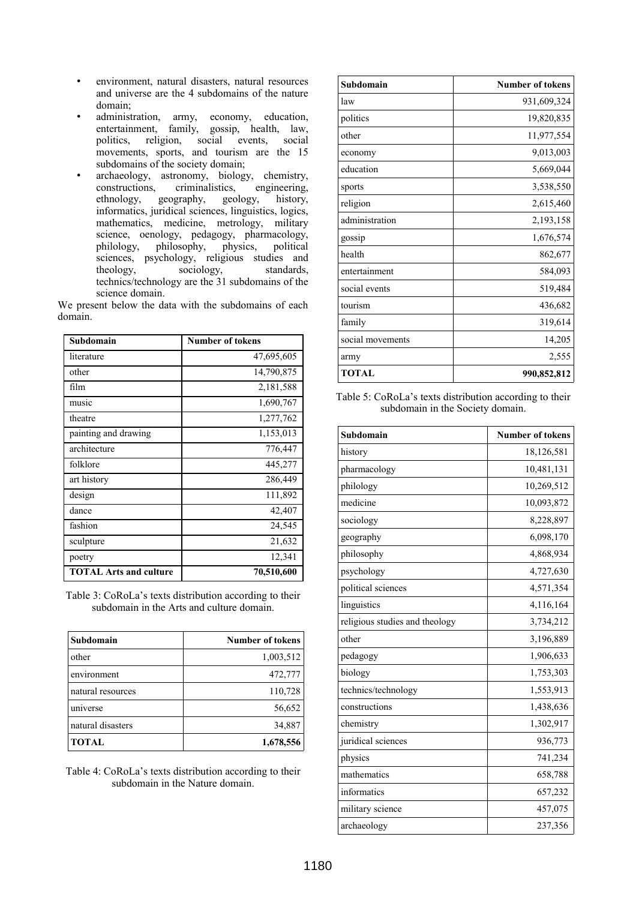- environment, natural disasters, natural resources and universe are the 4 subdomains of the nature domain;
- administration, army, economy, education, entertainment, family, gossip, health, law, politics, religion, social events, social movements, sports, and tourism are the 15 subdomains of the society domain;
- archaeology, astronomy, biology, chemistry, constructions, criminalistics, engineering, ethnology, geography, geology, history, informatics, juridical sciences, linguistics, logics, mathematics, medicine, metrology, military science, oenology, pedagogy, pharmacology, philosophy, physics, political philology, philosophy, physics, political sciences, psychology, religious studies and theology, sociology, standards, technics/technology are the 31 subdomains of the science domain.

We present below the data with the subdomains of each domain.

| Subdomain                     | <b>Number of tokens</b> |
|-------------------------------|-------------------------|
| literature                    | 47,695,605              |
| other                         | 14,790,875              |
| film                          | 2,181,588               |
| music                         | 1,690,767               |
| theatre                       | 1,277,762               |
| painting and drawing          | 1,153,013               |
| architecture                  | 776,447                 |
| folklore                      | 445,277                 |
| art history                   | 286,449                 |
| design                        | 111,892                 |
| dance                         | 42,407                  |
| fashion                       | 24,545                  |
| sculpture                     | 21,632                  |
| poetry                        | 12,341                  |
| <b>TOTAL Arts and culture</b> | 70,510,600              |

Table 3: CoRoLa's texts distribution according to their subdomain in the Arts and culture domain.

| Subdomain         | <b>Number of tokens</b> |
|-------------------|-------------------------|
| other             | 1,003,512               |
| environment       | 472,777                 |
| natural resources | 110,728                 |
| universe          | 56,652                  |
| natural disasters | 34,887                  |
| <b>TOTAL</b>      | 1,678,556               |

Table 4: CoRoLa's texts distribution according to their subdomain in the Nature domain.

| Subdomain        | <b>Number of tokens</b> |
|------------------|-------------------------|
| law              | 931,609,324             |
| politics         | 19,820,835              |
| other            | 11,977,554              |
| economy          | 9,013,003               |
| education        | 5,669,044               |
| sports           | 3,538,550               |
| religion         | 2,615,460               |
| administration   | 2,193,158               |
| gossip           | 1,676,574               |
| health           | 862,677                 |
| entertainment    | 584,093                 |
| social events    | 519,484                 |
| tourism          | 436,682                 |
| family           | 319,614                 |
| social movements | 14,205                  |
| army             | 2,555                   |
| TOTAL            | 990,852,812             |

Table 5: CoRoLa's texts distribution according to their subdomain in the Society domain.

| Subdomain                      | Number of tokens |
|--------------------------------|------------------|
| history                        | 18,126,581       |
| pharmacology                   | 10,481,131       |
| philology                      | 10,269,512       |
| medicine                       | 10,093,872       |
| sociology                      | 8,228,897        |
| geography                      | 6,098,170        |
| philosophy                     | 4,868,934        |
| psychology                     | 4,727,630        |
| political sciences             | 4,571,354        |
| linguistics                    | 4,116,164        |
| religious studies and theology | 3,734,212        |
| other                          | 3,196,889        |
| pedagogy                       | 1,906,633        |
| biology                        | 1,753,303        |
| technics/technology            | 1,553,913        |
| constructions                  | 1,438,636        |
| chemistry                      | 1,302,917        |
| juridical sciences             | 936,773          |
| physics                        | 741,234          |
| mathematics                    | 658,788          |
| informatics                    | 657,232          |
| military science               | 457,075          |
| archaeology                    | 237,356          |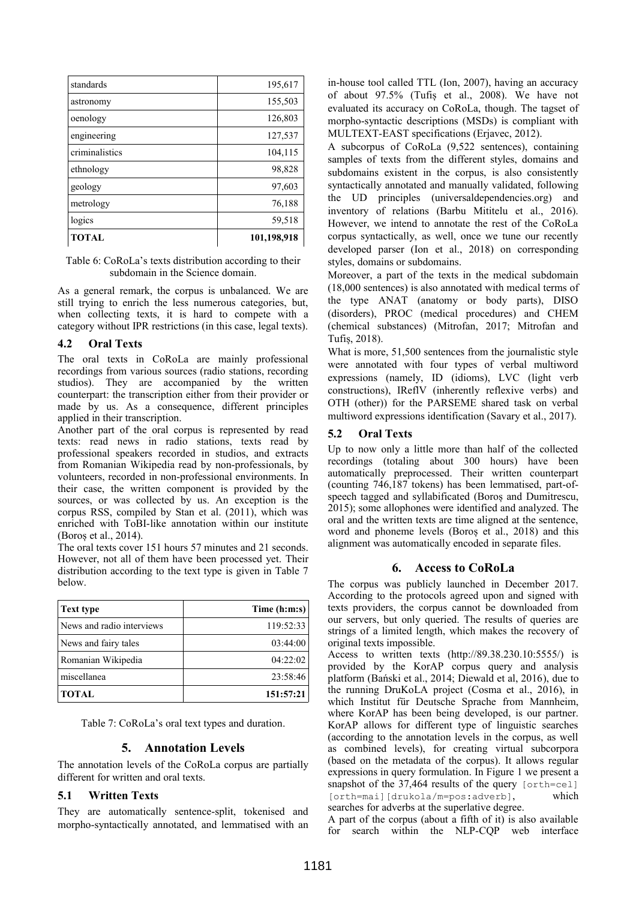| standards      | 195,617     |
|----------------|-------------|
| astronomy      | 155,503     |
| oenology       | 126,803     |
| engineering    | 127,537     |
| criminalistics | 104,115     |
| ethnology      | 98,828      |
| geology        | 97,603      |
| metrology      | 76,188      |
| logics         | 59,518      |
| <b>TOTAL</b>   | 101,198,918 |

Table 6: CoRoLa's texts distribution according to their subdomain in the Science domain.

As a general remark, the corpus is unbalanced. We are still trying to enrich the less numerous categories, but, when collecting texts, it is hard to compete with a category without IPR restrictions (in this case, legal texts).

### **4.2 Oral Texts**

The oral texts in CoRoLa are mainly professional recordings from various sources (radio stations, recording studios). They are accompanied by the written counterpart: the transcription either from their provider or made by us. As a consequence, different principles applied in their transcription.

Another part of the oral corpus is represented by read texts: read news in radio stations, texts read by professional speakers recorded in studios, and extracts from Romanian Wikipedia read by non-professionals, by volunteers, recorded in non-professional environments. In their case, the written component is provided by the sources, or was collected by us. An exception is the corpus RSS, compiled by Stan et al. (2011), which was enriched with ToBI-like annotation within our institute (Boroș et al., 2014).

The oral texts cover 151 hours 57 minutes and 21 seconds. However, not all of them have been processed yet. Their distribution according to the text type is given in Table 7 below.

| <b>Text type</b>          | Time (h:m:s) |
|---------------------------|--------------|
| News and radio interviews | 119:52:33    |
| News and fairy tales      | 03:44:00     |
| Romanian Wikipedia        | 04:22:02     |
| miscellanea               | 23:58:46     |
| <b>TOTAL</b>              | 151:57:21    |

Table 7: CoRoLa's oral text types and duration.

### **5. Annotation Levels**

The annotation levels of the CoRoLa corpus are partially different for written and oral texts.

### **5.1 Written Texts**

They are automatically sentence-split, tokenised and morpho-syntactically annotated, and lemmatised with an in-house tool called TTL (Ion, 2007), having an accuracy of about 97.5% (Tufiș et al., 2008). We have not evaluated its accuracy on CoRoLa, though. The tagset of morpho-syntactic descriptions (MSDs) is compliant with MULTEXT-EAST specifications (Erjavec, 2012).

A subcorpus of CoRoLa (9,522 sentences), containing samples of texts from the different styles, domains and subdomains existent in the corpus, is also consistently syntactically annotated and manually validated, following the UD principles (universaldependencies.org) and inventory of relations (Barbu Mititelu et al., 2016). However, we intend to annotate the rest of the CoRoLa corpus syntactically, as well, once we tune our recently developed parser (Ion et al., 2018) on corresponding styles, domains or subdomains.

Moreover, a part of the texts in the medical subdomain (18,000 sentences) is also annotated with medical terms of the type ANAT (anatomy or body parts), DISO (disorders), PROC (medical procedures) and CHEM (chemical substances) (Mitrofan, 2017; Mitrofan and Tufiș, 2018).

What is more, 51,500 sentences from the journalistic style were annotated with four types of verbal multiword expressions (namely, ID (idioms), LVC (light verb constructions), IReflV (inherently reflexive verbs) and OTH (other)) for the PARSEME shared task on verbal multiword expressions identification (Savary et al., 2017).

### **5.2 Oral Texts**

Up to now only a little more than half of the collected recordings (totaling about 300 hours) have been automatically preprocessed. Their written counterpart (counting 746,187 tokens) has been lemmatised, part-ofspeech tagged and syllabificated (Boroș and Dumitrescu, 2015); some allophones were identified and analyzed. The oral and the written texts are time aligned at the sentence, word and phoneme levels (Boroș et al., 2018) and this alignment was automatically encoded in separate files.

### **6. Access to CoRoLa**

The corpus was publicly launched in December 2017. According to the protocols agreed upon and signed with texts providers, the corpus cannot be downloaded from our servers, but only queried. The results of queries are strings of a limited length, which makes the recovery of original texts impossible.

Access to written texts (http://89.38.230.10:5555/) is provided by the KorAP corpus query and analysis platform (Bański et al., 2014; Diewald et al, 2016), due to the running DruKoLA project (Cosma et al., 2016), in which Institut für Deutsche Sprache from Mannheim, where KorAP has been being developed, is our partner. KorAP allows for different type of linguistic searches (according to the annotation levels in the corpus, as well as combined levels), for creating virtual subcorpora (based on the metadata of the corpus). It allows regular expressions in query formulation. In Figure 1 we present a snapshot of the 37,464 results of the query [orth=cel] [orth=mai][drukola/m=pos:adverb], which searches for adverbs at the superlative degree.

A part of the corpus (about a fifth of it) is also available for search within the NLP-CQP web interface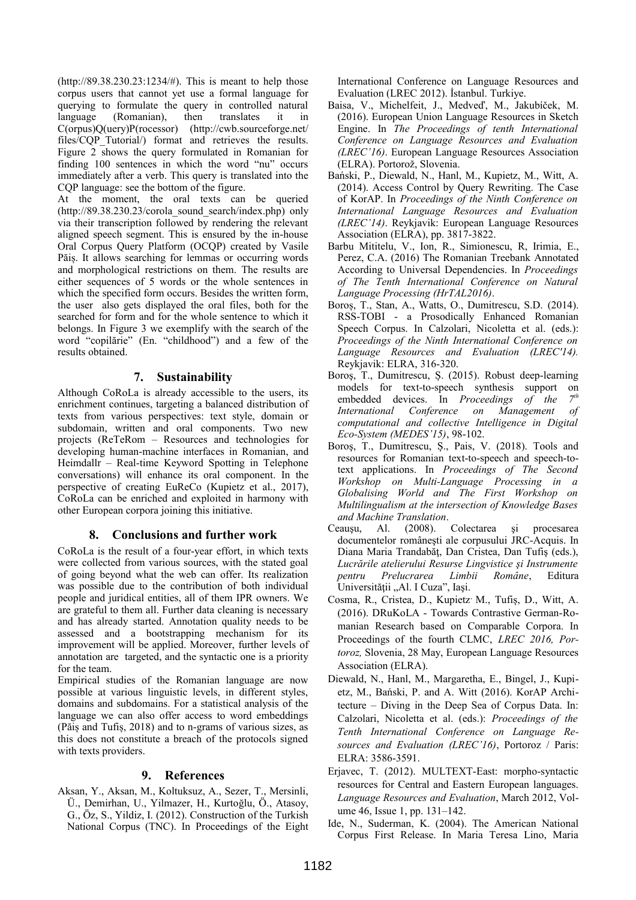(http://89.38.230.23:1234/#). This is meant to help those corpus users that cannot yet use a formal language for querying to formulate the query in controlled natural language (Romanian), then translates it in C(orpus)Q(uery)P(rocessor) (http://cwb.sourceforge.net/ files/CQP Tutorial/) format and retrieves the results. Figure 2 shows the query formulated in Romanian for finding 100 sentences in which the word "nu" occurs immediately after a verb. This query is translated into the CQP language: see the bottom of the figure.

At the moment, the oral texts can be queried (http://89.38.230.23/corola\_sound\_search/index.php) only via their transcription followed by rendering the relevant aligned speech segment. This is ensured by the in-house Oral Corpus Query Platform (OCQP) created by Vasile Păiș. It allows searching for lemmas or occurring words and morphological restrictions on them. The results are either sequences of 5 words or the whole sentences in which the specified form occurs. Besides the written form, the user also gets displayed the oral files, both for the searched for form and for the whole sentence to which it belongs. In Figure 3 we exemplify with the search of the word "copilărie" (En. "childhood") and a few of the results obtained.

## **7. Sustainability**

Although CoRoLa is already accessible to the users, its enrichment continues, targeting a balanced distribution of texts from various perspectives: text style, domain or subdomain, written and oral components. Two new projects (ReTeRom – Resources and technologies for developing human-machine interfaces in Romanian, and Heimdallr – Real-time Keyword Spotting in Telephone conversations) will enhance its oral component. In the perspective of creating EuReCo (Kupietz et al., 2017), CoRoLa can be enriched and exploited in harmony with other European corpora joining this initiative.

### **8. Conclusions and further work**

CoRoLa is the result of a four-year effort, in which texts were collected from various sources, with the stated goal of going beyond what the web can offer. Its realization was possible due to the contribution of both individual people and juridical entities, all of them IPR owners. We are grateful to them all. Further data cleaning is necessary and has already started. Annotation quality needs to be assessed and a bootstrapping mechanism for its improvement will be applied. Moreover, further levels of annotation are targeted, and the syntactic one is a priority for the team.

Empirical studies of the Romanian language are now possible at various linguistic levels, in different styles, domains and subdomains. For a statistical analysis of the language we can also offer access to word embeddings (Păiș and Tufiș, 2018) and to n-grams of various sizes, as this does not constitute a breach of the protocols signed with texts providers.

### **9. References**

Aksan, Y., Aksan, M., Koltuksuz, A., Sezer, T., Mersinli, Ü., Demirhan, U., Yilmazer, H., Kurtoğlu, Ö., Atasoy, G., Öz, S., Yildiz, I. (2012). Construction of the Turkish National Corpus (TNC). In Proceedings of the Eight International Conference on Language Resources and Evaluation (LREC 2012). İstanbul. Turkiye.

- Baisa, V., Michelfeit, J., Medveď, M., Jakubíček, M. (2016). European Union Language Resources in Sketch Engine. In *The Proceedings of tenth International Conference on Language Resources and Evaluation (LREC'16)*. European Language Resources Association (ELRA). Portorož, Slovenia.
- Bański, P., Diewald, N., Hanl, M., Kupietz, M., Witt, A. (2014). Access Control by Query Rewriting. The Case of KorAP. In *Proceedings of the Ninth Conference on International Language Resources and Evaluation (LREC'14)*. Reykjavik: European Language Resources Association (ELRA), pp. 3817-3822.
- Barbu Mititelu, V., Ion, R., Simionescu, R, Irimia, E., Perez, C.A. (2016) The Romanian Treebank Annotated According to Universal Dependencies. In *Proceedings of The Tenth International Conference on Natural Language Processing (HrTAL2016)*.
- Boroș, T., Stan, A., Watts, O., Dumitrescu, S.D. (2014). RSS-TOBI - a Prosodically Enhanced Romanian Speech Corpus. In Calzolari, Nicoletta et al. (eds.): *Proceedings of the Ninth International Conference on Language Resources and Evaluation (LREC'14).* Reykjavik: ELRA, 316-320.
- Boroş, T., Dumitrescu, Ș. (2015). Robust deep-learning models for text-to-speech synthesis support on embedded devices. In *Proceedings of the 7th International Conference on Management of computational and collective Intelligence in Digital Eco-System (MEDES'15)*, 98-102.
- Boroş, T., Dumitrescu, Ș., Pais, V. (2018). Tools and resources for Romanian text-to-speech and speech-totext applications. In *Proceedings of The Second Workshop on Multi-Language Processing in a Globalising World and The First Workshop on Multilingualism at the intersection of Knowledge Bases and Machine Translation*.
- Ceauşu, Al. (2008). Colectarea şi procesarea documentelor româneşti ale corpusului JRC-Acquis. In Diana Maria Trandabăţ, Dan Cristea, Dan Tufiş (eds.), *Lucrările atelierului Resurse Lingvistice şi Instrumente pentru Prelucrarea Limbii Române*, Editura Universității "Al. I Cuza", Iași.
- Cosma, R., Cristea, D., Kupietz, M., Tufiș, D., Witt, A. (2016). DRuKoLA - Towards Contrastive German-Romanian Research based on Comparable Corpora. In Proceedings of the fourth CLMC, *LREC 2016, Portoroz,* Slovenia, 28 May, European Language Resources Association (ELRA).
- Diewald, N., Hanl, M., Margaretha, E., Bingel, J., Kupietz, M., Bański, P. and A. Witt (2016). KorAP Architecture – Diving in the Deep Sea of Corpus Data. In: Calzolari, Nicoletta et al. (eds.): *Proceedings of the Tenth International Conference on Language Resources and Evaluation (LREC'16)*, Portoroz / Paris: ELRA: 3586-3591.
- Erjavec, T. (2012). MULTEXT-East: morpho-syntactic resources for Central and Eastern European languages. *Language Resources and Evaluation*, March 2012, Volume 46, Issue 1, pp. 131–142.
- Ide, N., Suderman, K. (2004). The American National Corpus First Release. In Maria Teresa Lino, Maria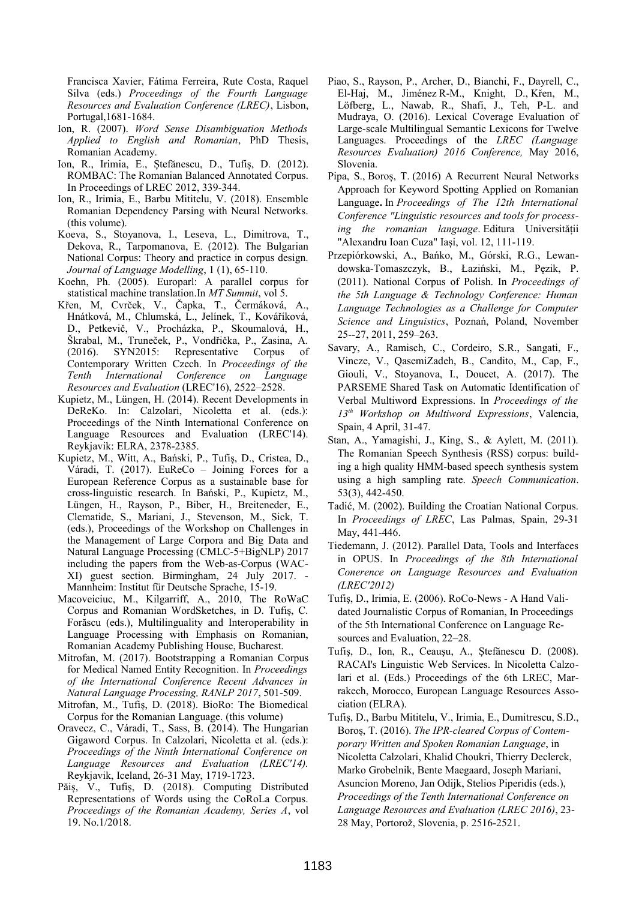Francisca Xavier, Fátima Ferreira, Rute Costa, Raquel Silva (eds.) *Proceedings of the Fourth Language Resources and Evaluation Conference (LREC)*, Lisbon, Portugal,1681-1684.

- Ion, R. (2007). *Word Sense Disambiguation Methods Applied to English and Romanian*, PhD Thesis, Romanian Academy.
- Ion, R., Irimia, E., Ștefănescu, D., Tufiș, D. (2012). ROMBAC: The Romanian Balanced Annotated Corpus. In Proceedings of LREC 2012, 339-344.
- Ion, R., Irimia, E., Barbu Mititelu, V. (2018). Ensemble Romanian Dependency Parsing with Neural Networks. (this volume).
- Koeva, S., Stoyanova, I., Leseva, L., Dimitrova, T., Dekova, R., Tarpomanova, E. (2012). The Bulgarian National Corpus: Theory and practice in corpus design. *Journal of Language Modelling*, 1 (1), 65-110.
- Koehn, Ph. (2005). Europarl: A parallel corpus for statistical machine translation.In *MT Summit*, vol 5.
- Křen, M, Cvrček, V., Čapka, T., Čermáková, A., Hnátková, M., Chlumská, L., Jelínek, T., Kováříková, D., Petkevič, V., Procházka, P., Skoumalová, H., Škrabal, M., Truneček, P., Vondřička, P., Zasina, A. (2016). SYN2015: Representative Corpus of Contemporary Written Czech. In *Proceedings of the Tenth International Conference on Language Resources and Evaluation* (LREC'16), 2522–2528.
- Kupietz, M., Lüngen, H. (2014). Recent Developments in DeReKo. In: Calzolari, Nicoletta et al. (eds.): Proceedings of the Ninth International Conference on Language Resources and Evaluation (LREC'14). Reykjavik: ELRA, 2378-2385.
- Kupietz, M., Witt, A., Bański, P., Tufiș, D., Cristea, D., Váradi, T. (2017). EuReCo – Joining Forces for a European Reference Corpus as a sustainable base for cross-linguistic research. In Bański, P., Kupietz, M., Lüngen, H., Rayson, P., Biber, H., Breiteneder, E., Clematide, S., Mariani, J., Stevenson, M., Sick, T. (eds.), Proceedings of the Workshop on Challenges in the Management of Large Corpora and Big Data and Natural Language Processing (CMLC-5+BigNLP) 2017 including the papers from the Web-as-Corpus (WAC-XI) guest section. Birmingham, 24 July 2017. - Mannheim: Institut für Deutsche Sprache, 15-19.
- Macoveiciuc, M., Kilgarriff, A., 2010, The RoWaC Corpus and Romanian WordSketches, in D. Tufiș, C. Forăscu (eds.), Multilinguality and Interoperability in Language Processing with Emphasis on Romanian, Romanian Academy Publishing House, Bucharest.
- Mitrofan, M. (2017). Bootstrapping a Romanian Corpus for Medical Named Entity Recognition. In *Proceedings of the International Conference Recent Advances in Natural Language Processing, RANLP 2017*, 501-509.
- Mitrofan, M., Tufiș, D. (2018). BioRo: The Biomedical Corpus for the Romanian Language. (this volume)
- Oravecz, C., Váradi, T., Sass, B. (2014). The Hungarian Gigaword Corpus. In Calzolari, Nicoletta et al. (eds.): *Proceedings of the Ninth International Conference on Language Resources and Evaluation (LREC'14).* Reykjavik, Iceland, 26-31 May, 1719-1723.
- Păiș, V., Tufiș, D. (2018). Computing Distributed Representations of Words using the CoRoLa Corpus. *Proceedings of the Romanian Academy, Series A*, vol 19. No.1/2018.
- Piao, S., Rayson, P., Archer, D., Bianchi, F., Dayrell, C., El-Haj, M., Jiménez R-M., Knight, D., Křen, M., Löfberg, L., Nawab, R., Shafi, J., Teh, P-L. and Mudraya, O. (2016). Lexical Coverage Evaluation of Large-scale Multilingual Semantic Lexicons for Twelve Languages. Proceedings of the *LREC (Language Resources Evaluation) 2016 Conference,* May 2016, Slovenia.
- Pipa, S., Boroș, T. (2016) A Recurrent Neural Networks Approach for Keyword Spotting Applied on Romanian Language**.** In *Proceedings of The 12th International Conference "Linguistic resources and tools for processing the romanian language*. Editura Universității "Alexandru Ioan Cuza" Iași, vol. 12, 111-119.
- Przepiórkowski, A., Bańko, M., Górski, R.G., Lewandowska-Tomaszczyk, B., Łaziński, M., Pęzik, P. (2011). National Corpus of Polish. In *Proceedings of the 5th Language & Technology Conference: Human Language Technologies as a Challenge for Computer Science and Linguistics*, Poznań, Poland, November 25--27, 2011, 259–263.
- Savary, A., Ramisch, C., Cordeiro, S.R., Sangati, F., Vincze, V., QasemiZadeh, B., Candito, M., Cap, F., Giouli, V., Stoyanova, I., Doucet, A. (2017). The PARSEME Shared Task on Automatic Identification of Verbal Multiword Expressions. In *Proceedings of the 13th Workshop on Multiword Expressions*, Valencia, Spain, 4 April, 31-47.
- Stan, A., Yamagishi, J., King, S., & Aylett, M. (2011). The Romanian Speech Synthesis (RSS) corpus: building a high quality HMM-based speech synthesis system using a high sampling rate. *Speech Communication*. 53(3), 442-450.
- Tadić, M. (2002). Building the Croatian National Corpus. In *Proceedings of LREC*, Las Palmas, Spain, 29-31 May, 441-446.
- Tiedemann, J. (2012). Parallel Data, Tools and Interfaces in OPUS. In *Proceedings of the 8th International Conerence on Language Resources and Evaluation (LREC'2012)*
- Tufiş, D., Irimia, E. (2006). RoCo-News A Hand Validated Journalistic Corpus of Romanian, In Proceedings of the 5th International Conference on Language Resources and Evaluation, 22–28.
- Tufiş, D., Ion, R., Ceauşu, A., Ştefănescu D. (2008). RACAI's Linguistic Web Services. In Nicoletta Calzolari et al. (Eds.) Proceedings of the 6th LREC, Marrakech, Morocco, European Language Resources Association (ELRA).
- Tufiș, D., Barbu Mititelu, V., Irimia, E., Dumitrescu, S.D., Boroș, T. (2016). *The IPR-cleared Corpus of Contemporary Written and Spoken Romanian Language*, in Nicoletta Calzolari, Khalid Choukri, Thierry Declerck, Marko Grobelnik, Bente Maegaard, Joseph Mariani, Asuncion Moreno, Jan Odijk, Stelios Piperidis (eds.), *Proceedings of the Tenth International Conference on Language Resources and Evaluation (LREC 2016)*, 23- 28 May, Portorož, Slovenia, p. 2516-2521.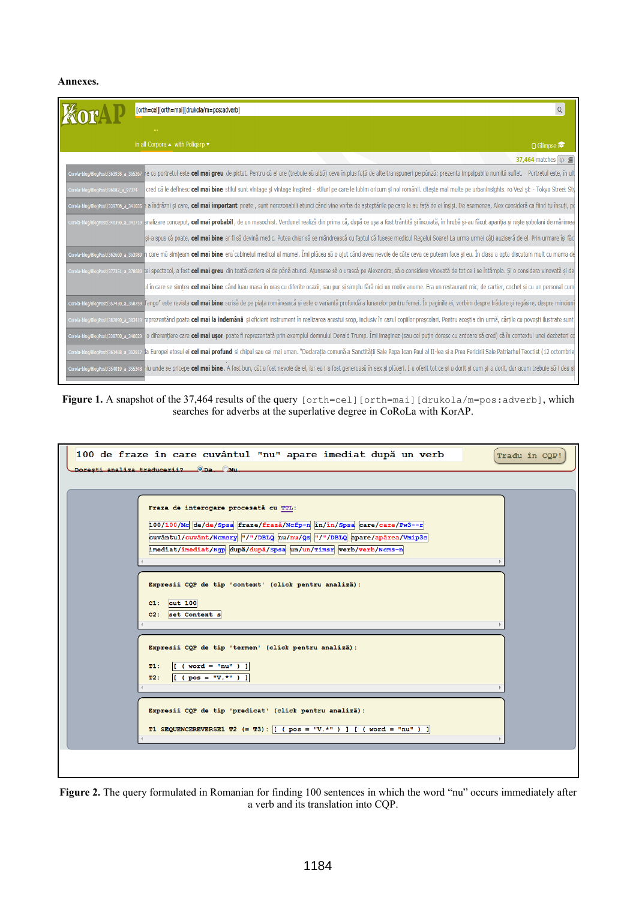### **Annexes.**

|                                      | $\mathsf Q$<br>[orth=cel][orth=mai][drukola/m=pos:adverb]                                                                                                                                                                                       |
|--------------------------------------|-------------------------------------------------------------------------------------------------------------------------------------------------------------------------------------------------------------------------------------------------|
|                                      |                                                                                                                                                                                                                                                 |
|                                      | in all Corpora $\blacktriangle$ with Poligarp $\blacktriangledown$<br>□ Glimpse                                                                                                                                                                 |
|                                      | 37,464 matches $\langle \psi \rangle \equiv$                                                                                                                                                                                                    |
|                                      | corola-blog@logeost/assess a s6s267 re ca portretul este cel mai greu de pictat. Pentru că el are (trebuie să aibă) ceva în plus față de alte transpuneri pe pânză: prezenta impalpabila numită suflet. - Portretul este, în u                  |
| Corola-blog/BlogPost/96082_a_97374   | cred că le definesc cel mai bine stilul sunt vintage și vintage inspired - stiluri pe care le iubim oricum și noi românii. citește mai multe pe urbaninsights. ro Vezi și: - Tokyo Street Sty                                                   |
| Corola-blog/BlogPost/339706_a_341035 | a îndrăzni și care, cel mai important poate, sunt nerezonabili atunci când vine vorba de așteptările pe care le au față de ei înșiși. De asemenea, Alex consideră ca fiind tu însuți, po                                                        |
|                                      | corola-blog/BlogPost/340390_a_341719_analizare conceput, cel mai probabil, de un masochist. Verdunel realiză din prima că, după ce ușa a fost trântită și încuiată, în hrubă și-au făcut apariția și niște șobolani de mărimea                  |
|                                      | si-a spus că poate, cel mai bine ar fi să devină medic. Putea chiar să se mândrească cu faptul că fusese medicul Regelui Soare! La urma urmei câti auziseră de el. Prin urmare îsi făc                                                          |
| Corola-blog/BlogPost/362660_a_363989 | n care mă simțeam <b>cel mai bine</b> era cabinetul medical al mamei. Îmi plăcea să o ajut când avea nevoie de câte ceva ce puteam face și eu. În clasa a opta discutam mult cu mama de                                                         |
| Corola-blog/BlogPost/377351 a 378680 | tel spectacol, a fost cel mai greu din toată cariera ei de până atunci. Ajunsese să o urască pe Alexandra, să o considere vinovată de tot ce i se întâmpla. Și o considera vinovată și de                                                       |
|                                      | µl în care se simțea <b>cel mai bine</b> când luau masa în oraș cu diferite ocazii, sau pur și simplu fără nici un motiv anume. Era un restaurant mic, de cartier, cochet și cu un personal cum                                                 |
| Corola-blog/BlogPost/357430_a_358759 | līango" este revista <b>cel mai bine</b> scrisă de pe piața românească și este o variantă profundă a lunarelor pentru femei. În paginile ei, vorbim despre trădare și regăsire, despre minciuni                                                 |
| Corola-blog/BlogPost/382090_a_383419 | reprezentând poate cel mai la îndemână și eficient instrument în realizarea acestui scop, inclusiv în cazul copiilor prescolari. Pentru acestia din urmă, cărtile cu povesti ilustrate sunt                                                     |
| Corola-blog/BlogPost/338700_a_340029 | o diferențiere care cel mai usor poate fi reprezentată prin exemplul domnului Donald Trump. Îmi imaginez (sau cel puțin doresc cu ardoare să cred) că în contextul unei dezbateri co                                                            |
|                                      | corola-blog/BlogPost/861488_a_362817 <mark>da Europei etosul ei <b>cel mai profund</b> si chipul sau cel mai uman. "Declarația comună a Sanctității Sale Papa Ioan Paul al II-lea si a Prea Fericirii Sale Patriarhul Teoctist (12 octom</mark> |
|                                      | corola-blogialogrost/354019 a 355348 niu unde se pricepe <b>cel mai bine</b> . A fost bun, cât a fost nevoie de el, iar ea i-a fost generoasă în sex și plăceri. I-a oferit tot ce și-a dorit și cum și-a dorit, dar acum trebuie s             |

Figure 1. A snapshot of the 37,464 results of the query [orth=cel][orth=mai][drukola/m=pos:adverb], which searches for adverbs at the superlative degree in CoRoLa with KorAP.

| 100 de fraze în care cuvântul "nu" apare imediat după un verb<br>Tradu în CQP!<br>Dorești analiza traducerii? ODa. ONu.                                                                                                                                     |
|-------------------------------------------------------------------------------------------------------------------------------------------------------------------------------------------------------------------------------------------------------------|
| Fraza de interogare procesată cu TTL:<br>$100/100/Mc$ de/de/Spsa fraze/frază/Ncfp-n în/în/Spsa care/care/Pw3--r<br>cuvântul/cuvânt/Ncmsry "/"/DBLQ nu/nu/Qz "/"/DBLQ apare/apărea/Vmip3s<br>imediat/imediat/Rgp după/după/Spsa un/un/Timsr verb/verb/Ncms-n |
| Expresii CQP de tip 'context' (click pentru analiză):<br>$c1:$ cut 100<br>$C2:$ set Context s                                                                                                                                                               |
| Expresii CQP de tip 'termen' (click pentru analiză):<br>$\left[ \begin{array}{ccc} \text{(word = "nu" )} \end{array} \right]$<br>T1:<br>$[$ [ ( $pos = "V.*" )$ ]<br>T2:                                                                                    |
| Expresii CQP de tip 'predicat' (click pentru analiză):<br>T1 SEQUENCEREVERSE1 T2 $(= T3)$ : $[($ $pos = "V.*") ] [($ $word = "nu") ]$                                                                                                                       |
|                                                                                                                                                                                                                                                             |

**Figure 2.** The query formulated in Romanian for finding 100 sentences in which the word "nu" occurs immediately after a verb and its translation into CQP.